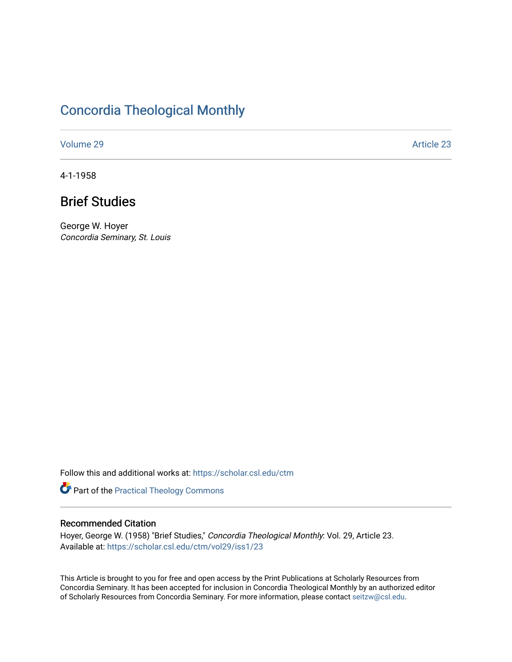# [Concordia Theological Monthly](https://scholar.csl.edu/ctm)

[Volume 29](https://scholar.csl.edu/ctm/vol29) Article 23

4-1-1958

# Brief Studies

George W. Hoyer Concordia Seminary, St. Louis

Follow this and additional works at: [https://scholar.csl.edu/ctm](https://scholar.csl.edu/ctm?utm_source=scholar.csl.edu%2Fctm%2Fvol29%2Fiss1%2F23&utm_medium=PDF&utm_campaign=PDFCoverPages)

Part of the [Practical Theology Commons](http://network.bepress.com/hgg/discipline/1186?utm_source=scholar.csl.edu%2Fctm%2Fvol29%2Fiss1%2F23&utm_medium=PDF&utm_campaign=PDFCoverPages)

### Recommended Citation

Hoyer, George W. (1958) "Brief Studies," Concordia Theological Monthly: Vol. 29, Article 23. Available at: [https://scholar.csl.edu/ctm/vol29/iss1/23](https://scholar.csl.edu/ctm/vol29/iss1/23?utm_source=scholar.csl.edu%2Fctm%2Fvol29%2Fiss1%2F23&utm_medium=PDF&utm_campaign=PDFCoverPages) 

This Article is brought to you for free and open access by the Print Publications at Scholarly Resources from Concordia Seminary. It has been accepted for inclusion in Concordia Theological Monthly by an authorized editor of Scholarly Resources from Concordia Seminary. For more information, please contact [seitzw@csl.edu](mailto:seitzw@csl.edu).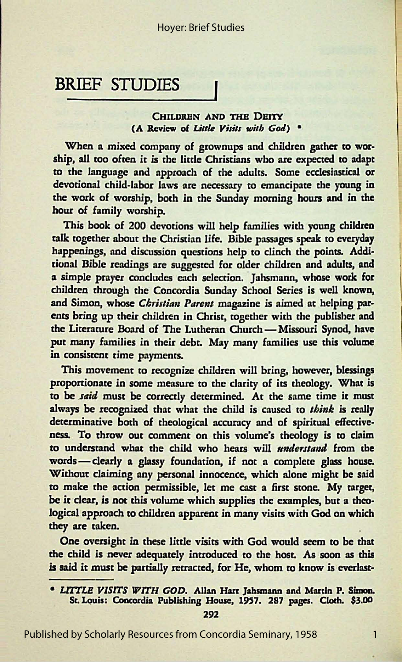### **BRIEF STUDIES**

#### CHILDREN AND THE DEITY (A Review of *Little Visits with God*) <sup>•</sup>

When a mixed company of grownups and children gather to worship, all too often it is the little Christians who are expected to adapt to the language and approach of the adults. Some ecclesiastical or devotional child-labor laws are necessary to emancipate the young in the work of worship, both in the Sunday morning hours and in the hour of family worship.

This book of 200 devotions will help families with young children talk together about the Christian life. Bible passages speak to everyday happenings, and discussion questions help *to* clinch the points. Additional Bible readings are suggested for older children and adults, and a simple prayer concludes each selection. Jahsmann, whose work for children through the Concordia Sunday School Series is well known, and Simon, whose *Christian Parent* magazine is aimed at helping parents bring up their children in Christ, together with the publisher and the Literature Board of The Lutheran Church - Missouri Synod, have put many families in their debt. May many families use this volume in consistent time payments.

This movement to recognize children will bring, however, blessings proportionate in some measure to the clarity of its rheology. What is to be *said* must be correctly determined. At the same time it must always be recognized that what the child is caused to *think* is really determinative both of theological accuracy and of spiritual effectiveness. To throw out comment on this volume's theology is *to* claim to understand what the child who hears will *understand* from the words - clearly a glassy foundation, if not a complete glass house. Without claiming any personal innocence, which alone might be said to make the action permissible, let me cast a first stone. My target, be it clear, is not this volume which supplies the examples, but a theological approach to children apparent in many visits with God on which they are taken.

One oversight in these little visits with God would seem *to* be that the child is never adequately introduced to the host. As soon as this is said it must be partially retracted, for He, whom to know is everlast-

292

1

Published by Scholarly Resources from Concordia Seminary, 1958

<sup>•</sup> LITTLE VISITS WITH GOD. Allan Hart Jahsmann and Martin P. Simon. St. Louis: Concordia Publishing House, 1957. 287 pages. Cloth. \$3.00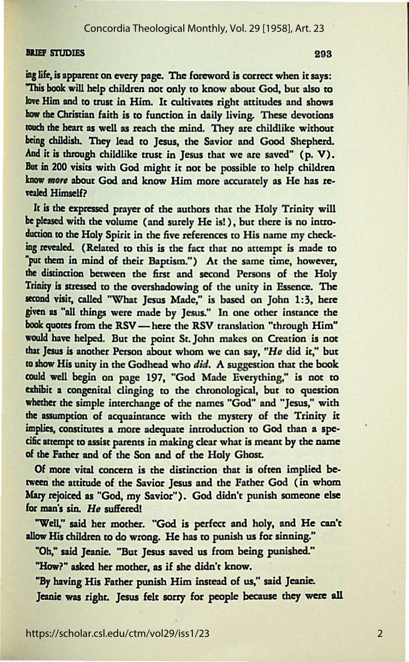#### Concordia Theological Monthly, Vol. 29 [1958], Art. 23

#### BRIEF STUDIES 293

ing life, is apparent on every page. The foreword is correct when it says: "This book will help children not only to know about God, but also to lowe Him and to trust in Him. It cultivates right attitudes and shows **bow** the Christian faith is to function in daily living. These devotions touch the heart as well as reach the mind. They are childlike without being childish. They lead to Jesus, the Savior and Good Shepherd. And it is through childlike trust in Jesus that we are saved" (p. V). But in 200 visits with God might it not be possible to help children know more about God and know Him more accurately as He has revealed Himself?

Ir is **the exprased** prayer of the authors that the Holy Trinity will be pleased with the volume (and surely He is!), but there is no introduction to the Holy Spirit in the five references to His name my checking revealed. (Related to this is the fact that no attempt is made to *•put* them in mind of their Baptism.") At the same time, however, the distinction between the first and second Persons of the Holy Trinity is stressed to the overshadowing of the unity in Essence. The second visit, called "What Jesus Made," is based on John 1:3, here given as "all things were made by Jesus." In one other instance the book quotes from the RSV - here the RSV translation "through Him" would have helped. But the point St. John makes on Creation is not that Jesus is another Person about whom we can say, *"He* did it," but tO show His unity in the Godhead who *did.* A suggestion that the book could well begin on page 197, "God Made Everything," is not to exhibit a congenital clinging to the chronological, but to question whether the simple interchange of the names "God" and "Jesus," with the assumption of acquaintance with the mystery of the Trinity it implies, constinucs a more adequate introduction ro God than a specific attempt to assist parents in making clear what is meant by the name of the Father and of the Son and of the Holy Ghost.

Of more vital concern is the distinction that is often implied be tween the attitude of the Savior Jesus and the Father God (in whom Mary rejoiced as "God, my Savior"). God didn't punish someone else for man's sin. He suffered!

"Well," said her mother. "God is perfect and holy, and He can't allow His children to do wrong. He has to punish us for sinning."

"Ob," said Jeanie. "But Jesus saved us from being punished."

"How?" asked her mother, as if she didn't know.

"By having His Father punish Him instead of us," said Jeanie. Jeanie was right. Jesus felt sorry for people because they were all

2